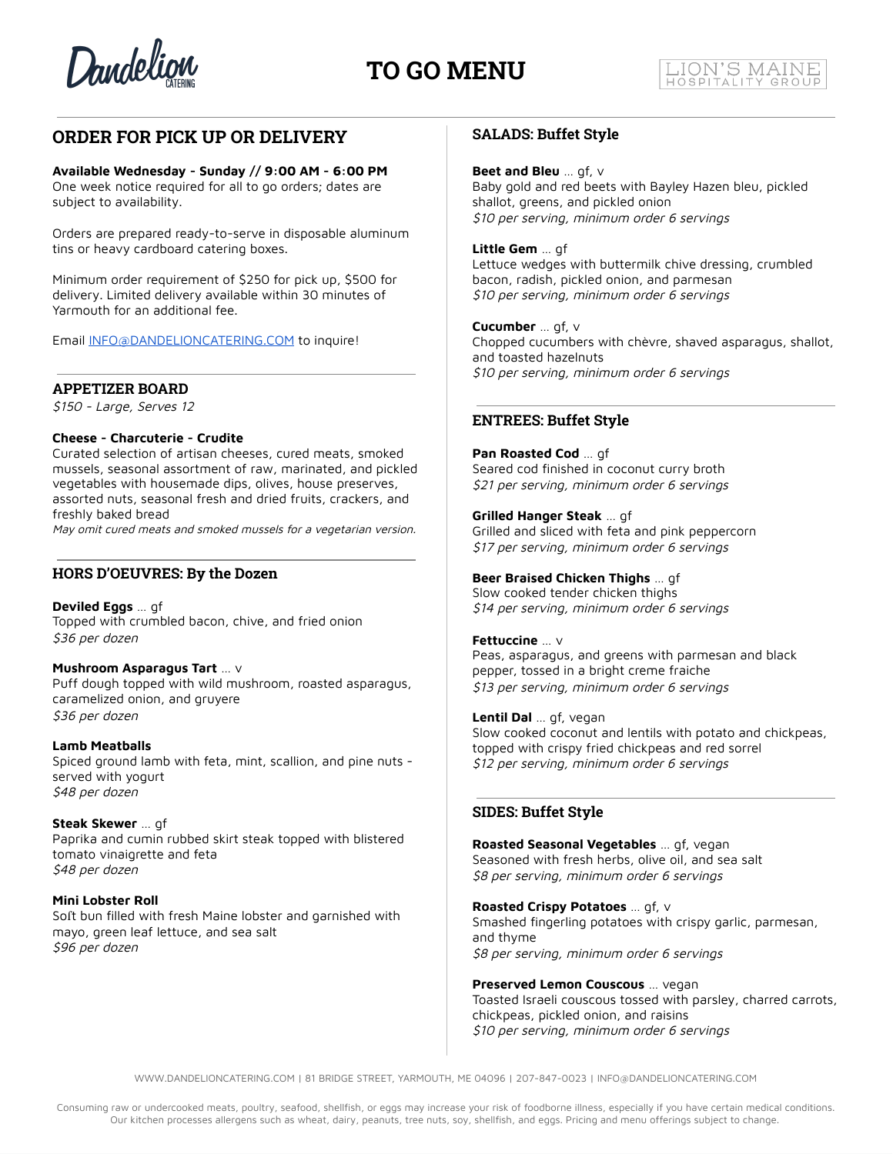

## **TO GO MENU**

## **ORDER FOR PICK UP OR DELIVERY**

## **Available Wednesday - Sunday // 9:00 AM - 6:00 PM**

One week notice required for all to go orders; dates are subject to availability.

Orders are prepared ready-to-serve in disposable aluminum tins or heavy cardboard catering boxes.

Minimum order requirement of \$250 for pick up, \$500 for delivery. Limited delivery available within 30 minutes of Yarmouth for an additional fee.

Email [INFO@DANDELIONCATERING.COM](mailto:INFO@DANDELIONCATERING.COM) to inquire!

## **APPETIZER BOARD**

\$150 - Large, Serves 12

#### **Cheese - Charcuterie - Crudite**

Curated selection of artisan cheeses, cured meats, smoked mussels, seasonal assortment of raw, marinated, and pickled vegetables with housemade dips, olives, house preserves, assorted nuts, seasonal fresh and dried fruits, crackers, and freshly baked bread

May omit cured meats and smoked mussels for <sup>a</sup> vegetarian version.

## **HORS D'OEUVRES: By the Dozen**

**Deviled Eggs** … gf Topped with crumbled bacon, chive, and fried onion \$36 per dozen

#### **Mushroom Asparagus Tart** … v

Puff dough topped with wild mushroom, roasted asparagus, caramelized onion, and gruyere \$36 per dozen

## **Lamb Meatballs**

Spiced ground lamb with feta, mint, scallion, and pine nuts served with yogurt \$48 per dozen

#### **Steak Skewer** … gf

Paprika and cumin rubbed skirt steak topped with blistered tomato vinaigrette and feta \$48 per dozen

#### **Mini Lobster Roll**

Soft bun filled with fresh Maine lobster and garnished with mayo, green leaf lettuce, and sea salt \$96 per dozen

## **SALADS: Buffet Style**

#### **Beet and Bleu** … gf, v

Baby gold and red beets with Bayley Hazen bleu, pickled shallot, greens, and pickled onion \$10 per serving, minimum order 6 servings

#### **Little Gem** … gf

Lettuce wedges with buttermilk chive dressing, crumbled bacon, radish, pickled onion, and parmesan \$10 per serving, minimum order 6 servings

#### **Cucumber** … gf, v

Chopped cucumbers with chèvre, shaved asparagus, shallot, and toasted hazelnuts \$10 per serving, minimum order 6 servings

## **ENTREES: Buffet Style**

**Pan Roasted Cod** … gf Seared cod finished in coconut curry broth \$21 per serving, minimum order 6 servings

#### **Grilled Hanger Steak** … gf

Grilled and sliced with feta and pink peppercorn \$17 per serving, minimum order 6 servings

#### **Beer Braised Chicken Thighs** … gf

Slow cooked tender chicken thighs \$14 per serving, minimum order 6 servings

#### **Fettuccine** … v

Peas, asparagus, and greens with parmesan and black pepper, tossed in a bright creme fraiche \$13 per serving, minimum order 6 servings

#### **Lentil Dal** … gf, vegan

Slow cooked coconut and lentils with potato and chickpeas, topped with crispy fried chickpeas and red sorrel \$12 per serving, minimum order 6 servings

## **SIDES: Buffet Style**

**Roasted Seasonal Vegetables** … gf, vegan Seasoned with fresh herbs, olive oil, and sea salt \$8 per serving, minimum order 6 servings

**Roasted Crispy Potatoes** … gf, v Smashed fingerling potatoes with crispy garlic, parmesan, and thyme \$8 per serving, minimum order 6 servings

**Preserved Lemon Couscous** … vegan Toasted Israeli couscous tossed with parsley, charred carrots, chickpeas, pickled onion, and raisins \$10 per serving, minimum order 6 servings

WWW.DANDELIONCATERING.COM | 81 BRIDGE STREET, YARMOUTH, ME 04096 | 207-847-0023 | INFO@DANDELIONCATERING.COM